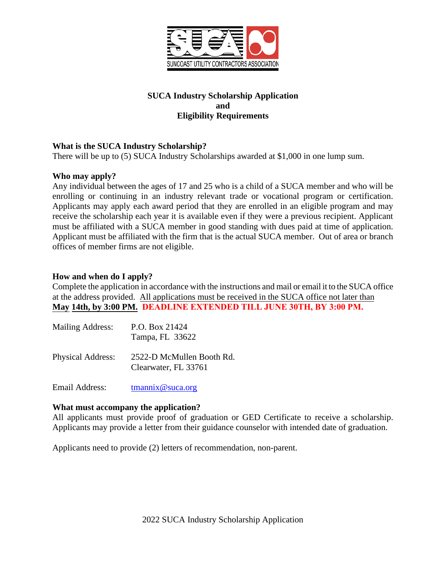

# **SUCA Industry Scholarship Application and Eligibility Requirements**

# **What is the SUCA Industry Scholarship?**

There will be up to (5) SUCA Industry Scholarships awarded at \$1,000 in one lump sum.

## **Who may apply?**

Any individual between the ages of 17 and 25 who is a child of a SUCA member and who will be enrolling or continuing in an industry relevant trade or vocational program or certification. Applicants may apply each award period that they are enrolled in an eligible program and may receive the scholarship each year it is available even if they were a previous recipient. Applicant must be affiliated with a SUCA member in good standing with dues paid at time of application. Applicant must be affiliated with the firm that is the actual SUCA member. Out of area or branch offices of member firms are not eligible.

## **How and when do I apply?**

Complete the application in accordance with the instructions and mail or email it to the SUCA office at the address provided. All applications must be received in the SUCA office not later than **May 14th, by 3:00 PM. DEADLINE EXTENDED TILL JUNE 30TH, BY 3:00 PM.**

| <b>Mailing Address:</b>  | P.O. Box 21424<br>Tampa, FL 33622                 |
|--------------------------|---------------------------------------------------|
| <b>Physical Address:</b> | 2522-D McMullen Booth Rd.<br>Clearwater, FL 33761 |

Email Address: [tmannix@suca.org](mailto:tmannix@suca.org)

## **What must accompany the application?**

All applicants must provide proof of graduation or GED Certificate to receive a scholarship. Applicants may provide a letter from their guidance counselor with intended date of graduation.

Applicants need to provide (2) letters of recommendation, non-parent.

2022 SUCA Industry Scholarship Application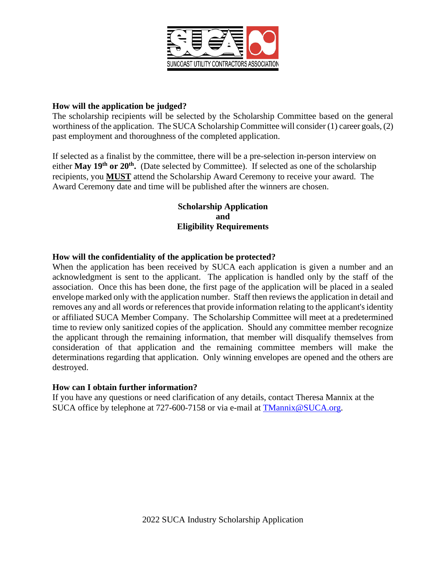

#### **How will the application be judged?**

The scholarship recipients will be selected by the Scholarship Committee based on the general worthiness of the application. The SUCA Scholarship Committee will consider (1) career goals, (2) past employment and thoroughness of the completed application.

If selected as a finalist by the committee, there will be a pre-selection in-person interview on either **May 19<sup>th</sup> or 20<sup>th</sup>.** (Date selected by Committee). If selected as one of the scholarship recipients, you **MUST** attend the Scholarship Award Ceremony to receive your award. The Award Ceremony date and time will be published after the winners are chosen.

## **Scholarship Application and Eligibility Requirements**

#### **How will the confidentiality of the application be protected?**

When the application has been received by SUCA each application is given a number and an acknowledgment is sent to the applicant. The application is handled only by the staff of the association. Once this has been done, the first page of the application will be placed in a sealed envelope marked only with the application number. Staff then reviews the application in detail and removes any and all words or references that provide information relating to the applicant's identity or affiliated SUCA Member Company. The Scholarship Committee will meet at a predetermined time to review only sanitized copies of the application. Should any committee member recognize the applicant through the remaining information, that member will disqualify themselves from consideration of that application and the remaining committee members will make the determinations regarding that application. Only winning envelopes are opened and the others are destroyed.

#### **How can I obtain further information?**

If you have any questions or need clarification of any details, contact Theresa Mannix at the SUCA office by telephone at 727-600-7158 or via e-mail at [TMannix@SUCA.org.](mailto:TMannix@SUCA.org)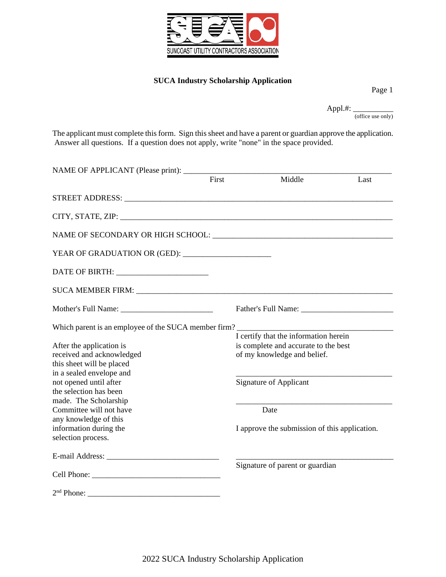

#### **SUCA Industry Scholarship Application**

Page 1

Appl.#: \_\_\_\_\_\_\_\_\_\_ (office use only)

The applicant must complete this form. Sign this sheet and have a parent or guardian approve the application. Answer all questions. If a question does not apply, write "none" in the space provided.

| NAME OF APPLICANT (Please print): ________           |       |                                               |      |  |  |
|------------------------------------------------------|-------|-----------------------------------------------|------|--|--|
|                                                      | First | Middle                                        | Last |  |  |
|                                                      |       |                                               |      |  |  |
|                                                      |       |                                               |      |  |  |
|                                                      |       |                                               |      |  |  |
|                                                      |       |                                               |      |  |  |
|                                                      |       |                                               |      |  |  |
|                                                      |       |                                               |      |  |  |
|                                                      |       |                                               |      |  |  |
| Which parent is an employee of the SUCA member firm? |       |                                               |      |  |  |
|                                                      |       | I certify that the information herein         |      |  |  |
| After the application is                             |       | is complete and accurate to the best          |      |  |  |
| received and acknowledged                            |       | of my knowledge and belief.                   |      |  |  |
| this sheet will be placed                            |       |                                               |      |  |  |
| in a sealed envelope and                             |       |                                               |      |  |  |
| not opened until after                               |       | <b>Signature of Applicant</b>                 |      |  |  |
| the selection has been                               |       |                                               |      |  |  |
| made. The Scholarship                                |       |                                               |      |  |  |
| Committee will not have                              |       | Date                                          |      |  |  |
| any knowledge of this                                |       |                                               |      |  |  |
| information during the                               |       | I approve the submission of this application. |      |  |  |
| selection process.                                   |       |                                               |      |  |  |
|                                                      |       |                                               |      |  |  |
|                                                      |       | Signature of parent or guardian               |      |  |  |
|                                                      |       |                                               |      |  |  |
|                                                      |       |                                               |      |  |  |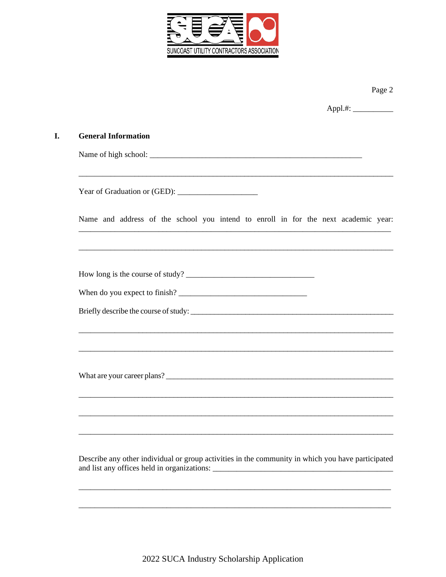

I.

|                                                                                                   | Page 2 |  |  |  |  |  |
|---------------------------------------------------------------------------------------------------|--------|--|--|--|--|--|
|                                                                                                   |        |  |  |  |  |  |
| <b>General Information</b>                                                                        |        |  |  |  |  |  |
|                                                                                                   |        |  |  |  |  |  |
|                                                                                                   |        |  |  |  |  |  |
| Name and address of the school you intend to enroll in for the next academic year:                |        |  |  |  |  |  |
|                                                                                                   |        |  |  |  |  |  |
|                                                                                                   |        |  |  |  |  |  |
|                                                                                                   |        |  |  |  |  |  |
|                                                                                                   |        |  |  |  |  |  |
|                                                                                                   |        |  |  |  |  |  |
|                                                                                                   |        |  |  |  |  |  |
|                                                                                                   |        |  |  |  |  |  |
|                                                                                                   |        |  |  |  |  |  |
|                                                                                                   |        |  |  |  |  |  |
| Describe any other individual or group activities in the community in which you have participated |        |  |  |  |  |  |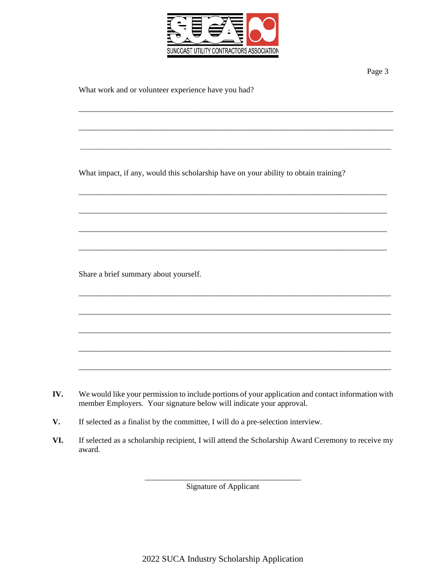

\_\_\_\_\_\_\_\_\_\_\_\_\_\_\_\_\_\_\_\_\_\_\_\_\_\_\_\_\_\_\_\_\_\_\_\_\_\_\_\_\_\_\_\_\_\_\_\_\_\_\_\_\_\_\_\_\_\_\_\_\_\_\_\_\_\_\_\_\_\_\_\_\_\_\_\_\_\_\_\_

\_\_\_\_\_\_\_\_\_\_\_\_\_\_\_\_\_\_\_\_\_\_\_\_\_\_\_\_\_\_\_\_\_\_\_\_\_\_\_\_\_\_\_\_\_\_\_\_\_\_\_\_\_\_\_\_\_\_\_\_\_\_\_\_\_\_\_\_\_\_\_\_\_\_\_\_\_\_\_\_

 $\_$  , and the set of the set of the set of the set of the set of the set of the set of the set of the set of the set of the set of the set of the set of the set of the set of the set of the set of the set of the set of th

\_\_\_\_\_\_\_\_\_\_\_\_\_\_\_\_\_\_\_\_\_\_\_\_\_\_\_\_\_\_\_\_\_\_\_\_\_\_\_\_\_\_\_\_\_\_\_\_\_\_\_\_\_\_\_\_\_\_\_\_\_\_\_\_\_\_\_\_\_\_\_\_\_\_\_\_\_

\_\_\_\_\_\_\_\_\_\_\_\_\_\_\_\_\_\_\_\_\_\_\_\_\_\_\_\_\_\_\_\_\_\_\_\_\_\_\_\_\_\_\_\_\_\_\_\_\_\_\_\_\_\_\_\_\_\_\_\_\_\_\_\_\_\_\_\_\_\_\_\_\_\_\_\_\_

\_\_\_\_\_\_\_\_\_\_\_\_\_\_\_\_\_\_\_\_\_\_\_\_\_\_\_\_\_\_\_\_\_\_\_\_\_\_\_\_\_\_\_\_\_\_\_\_\_\_\_\_\_\_\_\_\_\_\_\_\_\_\_\_\_\_\_\_\_\_\_\_\_\_\_\_\_

\_\_\_\_\_\_\_\_\_\_\_\_\_\_\_\_\_\_\_\_\_\_\_\_\_\_\_\_\_\_\_\_\_\_\_\_\_\_\_\_\_\_\_\_\_\_\_\_\_\_\_\_\_\_\_\_\_\_\_\_\_\_\_\_\_\_\_\_\_\_\_\_\_\_\_\_\_

\_\_\_\_\_\_\_\_\_\_\_\_\_\_\_\_\_\_\_\_\_\_\_\_\_\_\_\_\_\_\_\_\_\_\_\_\_\_\_\_\_\_\_\_\_\_\_\_\_\_\_\_\_\_\_\_\_\_\_\_\_\_\_\_\_\_\_\_\_\_\_\_\_\_\_\_\_\_

\_\_\_\_\_\_\_\_\_\_\_\_\_\_\_\_\_\_\_\_\_\_\_\_\_\_\_\_\_\_\_\_\_\_\_\_\_\_\_\_\_\_\_\_\_\_\_\_\_\_\_\_\_\_\_\_\_\_\_\_\_\_\_\_\_\_\_\_\_\_\_\_\_\_\_\_\_\_

\_\_\_\_\_\_\_\_\_\_\_\_\_\_\_\_\_\_\_\_\_\_\_\_\_\_\_\_\_\_\_\_\_\_\_\_\_\_\_\_\_\_\_\_\_\_\_\_\_\_\_\_\_\_\_\_\_\_\_\_\_\_\_\_\_\_\_\_\_\_\_\_\_\_\_\_\_\_

\_\_\_\_\_\_\_\_\_\_\_\_\_\_\_\_\_\_\_\_\_\_\_\_\_\_\_\_\_\_\_\_\_\_\_\_\_\_\_\_\_\_\_\_\_\_\_\_\_\_\_\_\_\_\_\_\_\_\_\_\_\_\_\_\_\_\_\_\_\_\_\_\_\_\_\_\_\_

\_\_\_\_\_\_\_\_\_\_\_\_\_\_\_\_\_\_\_\_\_\_\_\_\_\_\_\_\_\_\_\_\_\_\_\_\_\_\_\_\_\_\_\_\_\_\_\_\_\_\_\_\_\_\_\_\_\_\_\_\_\_\_\_\_\_\_\_\_\_\_\_\_\_\_\_\_\_

What impact, if any, would this scholarship have on your ability to obtain training?

Share a brief summary about yourself.

- **IV.** We would like your permission to include portions of your application and contact information with member Employers. Your signature below will indicate your approval.
- **V.** If selected as a finalist by the committee, I will do a pre-selection interview.
- **VI.** If selected as a scholarship recipient, I will attend the Scholarship Award Ceremony to receive my award.

\_\_\_\_\_\_\_\_\_\_\_\_\_\_\_\_\_\_\_\_\_\_\_\_\_\_\_\_\_\_\_\_\_\_\_\_\_\_\_ Signature of Applicant